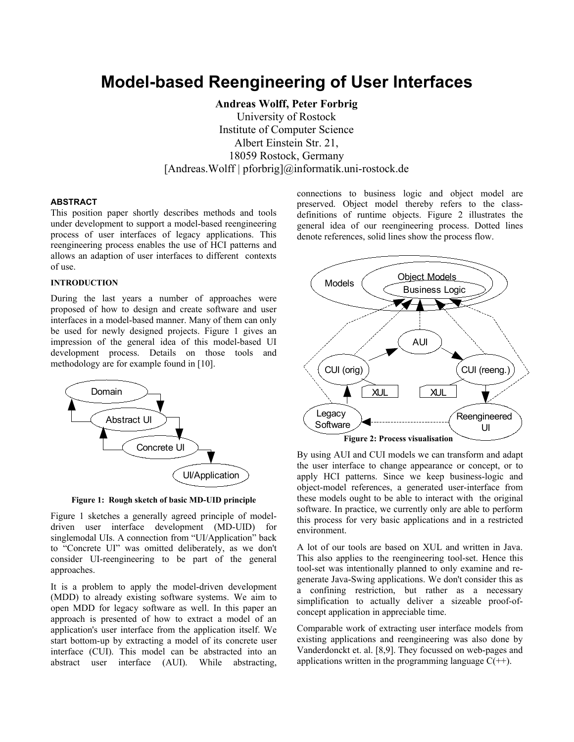# **Model-based Reengineering of User Interfaces**

**Andreas Wolff, Peter Forbrig**

University of Rostock Institute of Computer Science Albert Einstein Str. 21, 18059 Rostock, Germany [Andreas.Wolff | pforbrig]@informatik.uni-rostock.de

# **ABSTRACT**

This position paper shortly describes methods and tools under development to support a model-based reengineering process of user interfaces of legacy applications. This reengineering process enables the use of HCI patterns and allows an adaption of user interfaces to different contexts of use.

## **INTRODUCTION**

During the last years a number of approaches were proposed of how to design and create software and user interfaces in a model-based manner. Many of them can only be used for newly designed projects. Figure 1 gives an impression of the general idea of this model-based UI development process. Details on those tools and methodology are for example found in [10].



**Figure 1: Rough sketch of basic MD-UID principle**

Figure 1 sketches a generally agreed principle of modeldriven user interface development (MD-UID) for singlemodal UIs. A connection from "UI/Application" back to "Concrete UI" was omitted deliberately, as we don't consider UI-reengineering to be part of the general approaches.

It is a problem to apply the model-driven development (MDD) to already existing software systems. We aim to open MDD for legacy software as well. In this paper an approach is presented of how to extract a model of an application's user interface from the application itself. We start bottom-up by extracting a model of its concrete user interface (CUI). This model can be abstracted into an abstract user interface (AUI). While abstracting, connections to business logic and object model are preserved. Object model thereby refers to the classdefinitions of runtime objects. Figure 2 illustrates the general idea of our reengineering process. Dotted lines denote references, solid lines show the process flow.



By using AUI and CUI models we can transform and adapt the user interface to change appearance or concept, or to apply HCI patterns. Since we keep business-logic and object-model references, a generated user-interface from these models ought to be able to interact with the original software. In practice, we currently only are able to perform this process for very basic applications and in a restricted environment.

A lot of our tools are based on XUL and written in Java. This also applies to the reengineering tool-set. Hence this tool-set was intentionally planned to only examine and regenerate Java-Swing applications. We don't consider this as a confining restriction, but rather as a necessary simplification to actually deliver a sizeable proof-ofconcept application in appreciable time.

Comparable work of extracting user interface models from existing applications and reengineering was also done by Vanderdonckt et. al. [8,9]. They focussed on web-pages and applications written in the programming language  $C(+)$ .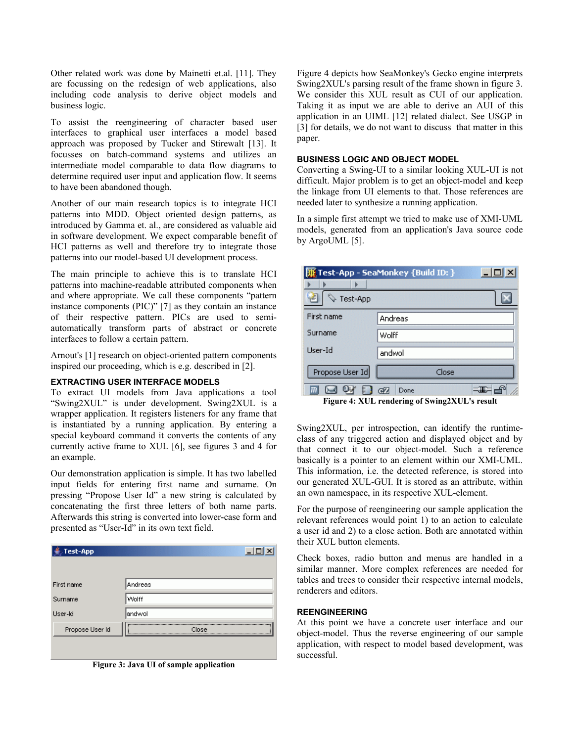Other related work was done by Mainetti et.al. [11]. They are focussing on the redesign of web applications, also including code analysis to derive object models and business logic.

To assist the reengineering of character based user interfaces to graphical user interfaces a model based approach was proposed by Tucker and Stirewalt [13]. It focusses on batch-command systems and utilizes an intermediate model comparable to data flow diagrams to determine required user input and application flow. It seems to have been abandoned though.

Another of our main research topics is to integrate HCI patterns into MDD. Object oriented design patterns, as introduced by Gamma et. al., are considered as valuable aid in software development. We expect comparable benefit of HCI patterns as well and therefore try to integrate those patterns into our model-based UI development process.

The main principle to achieve this is to translate HCI patterns into machine-readable attributed components when and where appropriate. We call these components "pattern instance components (PIC)" [7] as they contain an instance of their respective pattern. PICs are used to semiautomatically transform parts of abstract or concrete interfaces to follow a certain pattern.

Arnout's [1] research on object-oriented pattern components inspired our proceeding, which is e.g. described in [2].

## **EXTRACTING USER INTERFACE MODELS**

To extract UI models from Java applications a tool "Swing2XUL" is under development. Swing2XUL is a wrapper application. It registers listeners for any frame that is instantiated by a running application. By entering a special keyboard command it converts the contents of any currently active frame to XUL [6], see figures 3 and 4 for an example.

Our demonstration application is simple. It has two labelled input fields for entering first name and surname. On pressing "Propose User Id" a new string is calculated by concatenating the first three letters of both name parts. Afterwards this string is converted into lower-case form and presented as "User-Id" in its own text field.

| <b>Test-App</b> |         |
|-----------------|---------|
|                 |         |
| First name      | Andreas |
| Surname         | Wolff   |
| User-Id         | landwol |
| Propose User Id | Close   |
|                 |         |
|                 |         |



Figure 4 depicts how SeaMonkey's Gecko engine interprets Swing2XUL's parsing result of the frame shown in figure 3. We consider this XUL result as CUI of our application. Taking it as input we are able to derive an AUI of this application in an UIML [12] related dialect. See USGP in [3] for details, we do not want to discuss that matter in this paper.

## **BUSINESS LOGIC AND OBJECT MODEL**

Converting a Swing-UI to a similar looking XUL-UI is not difficult. Major problem is to get an object-model and keep the linkage from UI elements to that. Those references are needed later to synthesize a running application.

In a simple first attempt we tried to make use of XMI-UML models, generated from an application's Java source code by ArgoUML [5].

| $ \Box$ $\times$<br>Test-App - SeaMonkey {Build ID: } |                                                                                                                                                                                         |  |
|-------------------------------------------------------|-----------------------------------------------------------------------------------------------------------------------------------------------------------------------------------------|--|
|                                                       |                                                                                                                                                                                         |  |
| 孑<br>Test-App                                         |                                                                                                                                                                                         |  |
| First name                                            | Andreas                                                                                                                                                                                 |  |
| Surname                                               | Wolff                                                                                                                                                                                   |  |
| User-Id                                               | andwol                                                                                                                                                                                  |  |
| Propose User Id                                       | Close                                                                                                                                                                                   |  |
| ш.                                                    | 4<br>Œ<br>Done<br>$\blacksquare$ . The state of $\blacksquare$ . The state of $\blacksquare$ . The state of $\blacksquare$ is the state of $\blacksquare$ . The state of $\blacksquare$ |  |

**Figure 4: XUL rendering of Swing2XUL's result**

Swing2XUL, per introspection, can identify the runtimeclass of any triggered action and displayed object and by that connect it to our object-model. Such a reference basically is a pointer to an element within our XMI-UML. This information, i.e. the detected reference, is stored into our generated XUL-GUI. It is stored as an attribute, within an own namespace, in its respective XUL-element.

For the purpose of reengineering our sample application the relevant references would point 1) to an action to calculate a user id and 2) to a close action. Both are annotated within their XUL button elements.

Check boxes, radio button and menus are handled in a similar manner. More complex references are needed for tables and trees to consider their respective internal models, renderers and editors.

#### **REENGINEERING**

At this point we have a concrete user interface and our object-model. Thus the reverse engineering of our sample application, with respect to model based development, was successful.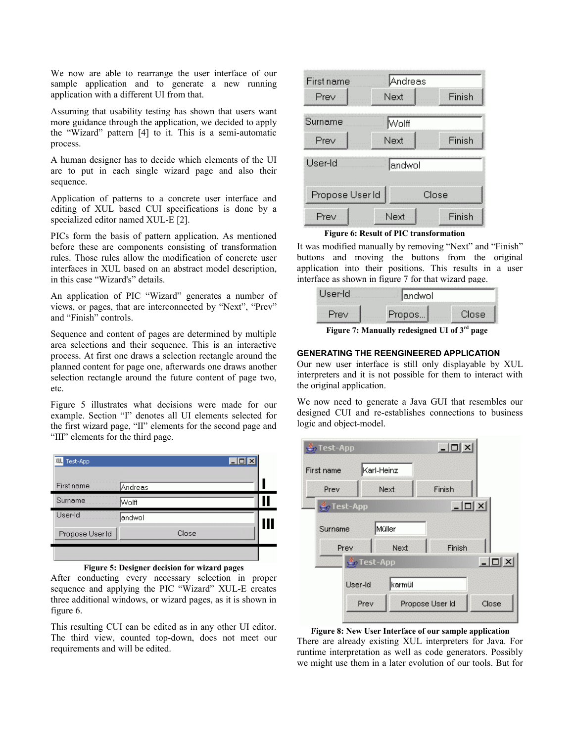We now are able to rearrange the user interface of our sample application and to generate a new running application with a different UI from that.

Assuming that usability testing has shown that users want more guidance through the application, we decided to apply the "Wizard" pattern [4] to it. This is a semi-automatic process.

A human designer has to decide which elements of the UI are to put in each single wizard page and also their sequence.

Application of patterns to a concrete user interface and editing of XUL based CUI specifications is done by a specialized editor named XUL-E [2].

PICs form the basis of pattern application. As mentioned before these are components consisting of transformation rules. Those rules allow the modification of concrete user interfaces in XUL based on an abstract model description, in this case "Wizard's" details.

An application of PIC "Wizard" generates a number of views, or pages, that are interconnected by "Next", "Prev" and "Finish" controls.

Sequence and content of pages are determined by multiple area selections and their sequence. This is an interactive process. At first one draws a selection rectangle around the planned content for page one, afterwards one draws another selection rectangle around the future content of page two, etc.

Figure 5 illustrates what decisions were made for our example. Section "I" denotes all UI elements selected for the first wizard page, "II" elements for the second page and "III" elements for the third page.



**Figure 5: Designer decision for wizard pages**

After conducting every necessary selection in proper sequence and applying the PIC "Wizard" XUL-E creates three additional windows, or wizard pages, as it is shown in figure 6.

This resulting CUI can be edited as in any other UI editor. The third view, counted top-down, does not meet our requirements and will be edited.



**Figure 6: Result of PIC transformation**

It was modified manually by removing "Next" and "Finish" buttons and moving the buttons from the original application into their positions. This results in a user interface as shown in figure 7 for that wizard page.

| User-Idi<br>. | landwol                                                  |       |  |
|---------------|----------------------------------------------------------|-------|--|
| <b>Elev</b>   | Propos.                                                  | Close |  |
|               | Figure 7: Manually redesigned UI of 3 <sup>rd</sup> page |       |  |

## **GENERATING THE REENGINEERED APPLICATION**

Our new user interface is still only displayable by XUL interpreters and it is not possible for them to interact with the original application.

We now need to generate a Java GUI that resembles our designed CUI and re-establishes connections to business logic and object-model.



**Figure 8: New User Interface of our sample application**

There are already existing XUL interpreters for Java. For runtime interpretation as well as code generators. Possibly we might use them in a later evolution of our tools. But for